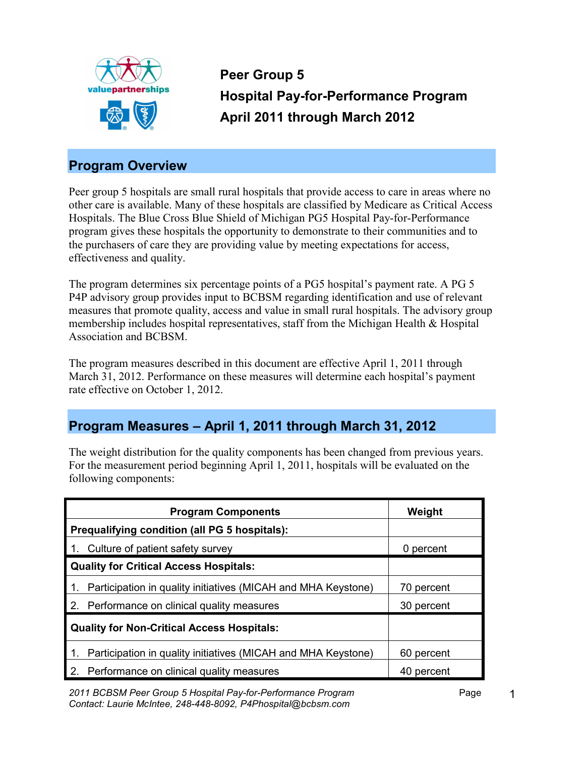

**Peer Group 5 Hospital Pay-for-Performance Program April 2011 through March 2012** 

## **Program Overview**

Peer group 5 hospitals are small rural hospitals that provide access to care in areas where no other care is available. Many of these hospitals are classified by Medicare as Critical Access Hospitals. The Blue Cross Blue Shield of Michigan PG5 Hospital Pay-for-Performance program gives these hospitals the opportunity to demonstrate to their communities and to the purchasers of care they are providing value by meeting expectations for access, effectiveness and quality.

The program determines six percentage points of a PG5 hospital's payment rate. A PG 5 P4P advisory group provides input to BCBSM regarding identification and use of relevant measures that promote quality, access and value in small rural hospitals. The advisory group membership includes hospital representatives, staff from the Michigan Health & Hospital Association and BCBSM.

The program measures described in this document are effective April 1, 2011 through March 31, 2012. Performance on these measures will determine each hospital's payment rate effective on October 1, 2012.

## **Program Measures – April 1, 2011 through March 31, 2012**

The weight distribution for the quality components has been changed from previous years. For the measurement period beginning April 1, 2011, hospitals will be evaluated on the following components:

| <b>Program Components</b>                                           | Weight     |
|---------------------------------------------------------------------|------------|
| Prequalifying condition (all PG 5 hospitals):                       |            |
| 1. Culture of patient safety survey                                 | 0 percent  |
| <b>Quality for Critical Access Hospitals:</b>                       |            |
| 1. Participation in quality initiatives (MICAH and MHA Keystone)    | 70 percent |
| 2. Performance on clinical quality measures                         | 30 percent |
| <b>Quality for Non-Critical Access Hospitals:</b>                   |            |
| Participation in quality initiatives (MICAH and MHA Keystone)<br>1. | 60 percent |
| 2. Performance on clinical quality measures                         | 40 percent |

*2011 BCBSM Peer Group 5 Hospital Pay-for-Performance Program* Page *Contact: Laurie McIntee, 248-448-8092, P4Phospital@bcbsm.com*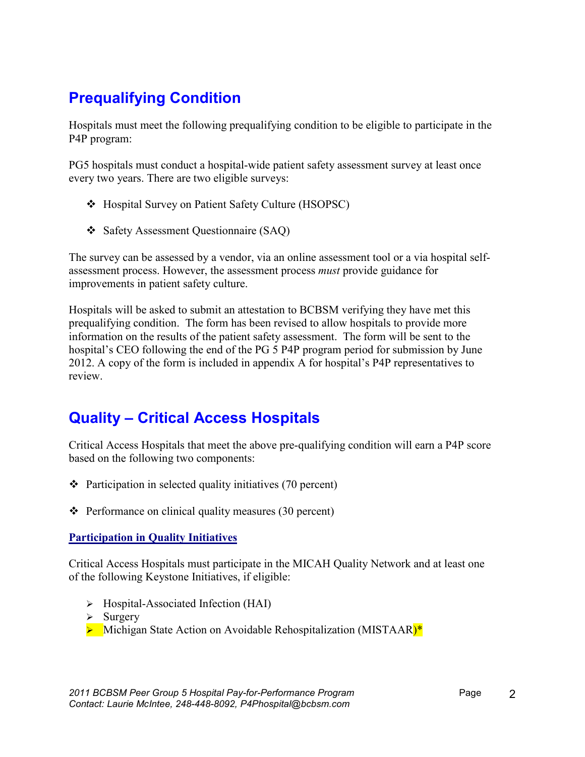# **Prequalifying Condition**

Hospitals must meet the following prequalifying condition to be eligible to participate in the P4P program:

PG5 hospitals must conduct a hospital-wide patient safety assessment survey at least once every two years. There are two eligible surveys:

- v Hospital Survey on Patient Safety Culture (HSOPSC)
- v Safety Assessment Questionnaire (SAQ)

The survey can be assessed by a vendor, via an online assessment tool or a via hospital selfassessment process. However, the assessment process *must* provide guidance for improvements in patient safety culture.

Hospitals will be asked to submit an attestation to BCBSM verifying they have met this prequalifying condition. The form has been revised to allow hospitals to provide more information on the results of the patient safety assessment. The form will be sent to the hospital's CEO following the end of the PG 5 P4P program period for submission by June 2012. A copy of the form is included in appendix A for hospital's P4P representatives to review.

# **Quality – Critical Access Hospitals**

Critical Access Hospitals that meet the above pre-qualifying condition will earn a P4P score based on the following two components:

- $\cdot$  Participation in selected quality initiatives (70 percent)
- $\triangle$  Performance on clinical quality measures (30 percent)

#### **Participation in Quality Initiatives**

Critical Access Hospitals must participate in the MICAH Quality Network and at least one of the following Keystone Initiatives, if eligible:

- $\triangleright$  Hospital-Associated Infection (HAI)
- $\triangleright$  Surgery
- Michigan State Action on Avoidable Rehospitalization (MISTAAR)\*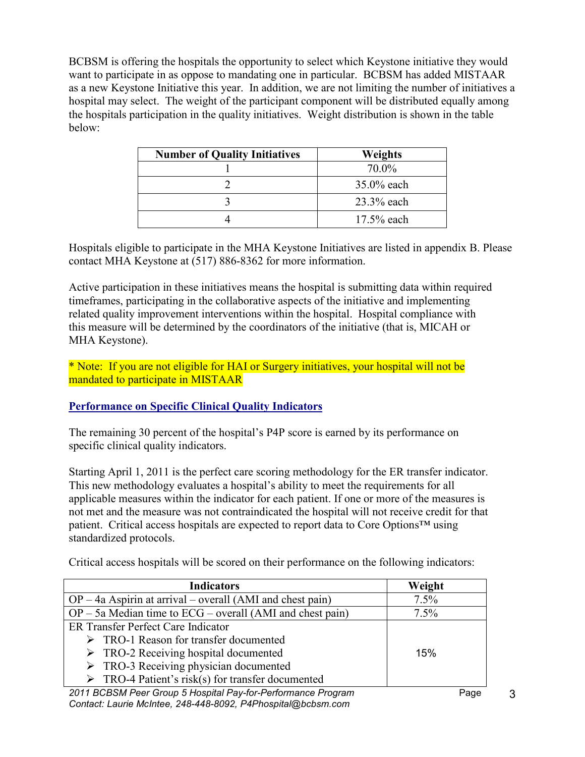BCBSM is offering the hospitals the opportunity to select which Keystone initiative they would want to participate in as oppose to mandating one in particular. BCBSM has added MISTAAR as a new Keystone Initiative this year. In addition, we are not limiting the number of initiatives a hospital may select. The weight of the participant component will be distributed equally among the hospitals participation in the quality initiatives. Weight distribution is shown in the table below:

| <b>Number of Quality Initiatives</b><br>Weights |               |
|-------------------------------------------------|---------------|
|                                                 | 70.0%         |
|                                                 | 35.0% each    |
|                                                 | 23.3% each    |
|                                                 | $17.5\%$ each |

Hospitals eligible to participate in the MHA Keystone Initiatives are listed in appendix B. Please contact MHA Keystone at (517) 886-8362 for more information.

Active participation in these initiatives means the hospital is submitting data within required timeframes, participating in the collaborative aspects of the initiative and implementing related quality improvement interventions within the hospital. Hospital compliance with this measure will be determined by the coordinators of the initiative (that is, MICAH or MHA Keystone).

\* Note: If you are not eligible for HAI or Surgery initiatives, your hospital will not be mandated to participate in MISTAAR

### **Performance on Specific Clinical Quality Indicators**

The remaining 30 percent of the hospital's P4P score is earned by its performance on specific clinical quality indicators.

Starting April 1, 2011 is the perfect care scoring methodology for the ER transfer indicator. This new methodology evaluates a hospital's ability to meet the requirements for all applicable measures within the indicator for each patient. If one or more of the measures is not met and the measure was not contraindicated the hospital will not receive credit for that patient. Critical access hospitals are expected to report data to Core Options™ using standardized protocols.

| <b>Indicators</b>                                                | Weight  |
|------------------------------------------------------------------|---------|
| $OP - 4a$ Aspirin at arrival – overall (AMI and chest pain)      | 7.5%    |
| $OP - 5a$ Median time to $ECG - overall$ (AMI and chest pain)    | $7.5\%$ |
| ER Transfer Perfect Care Indicator                               |         |
| $\triangleright$ TRO-1 Reason for transfer documented            |         |
| $\triangleright$ TRO-2 Receiving hospital documented             | 15%     |
| $\triangleright$ TRO-3 Receiving physician documented            |         |
| $\triangleright$ TRO-4 Patient's risk(s) for transfer documented |         |
|                                                                  |         |

Critical access hospitals will be scored on their performance on the following indicators:

*2011 BCBSM Peer Group 5 Hospital Pay-for-Performance Program* Page *Contact: Laurie McIntee, 248-448-8092, P4Phospital@bcbsm.com*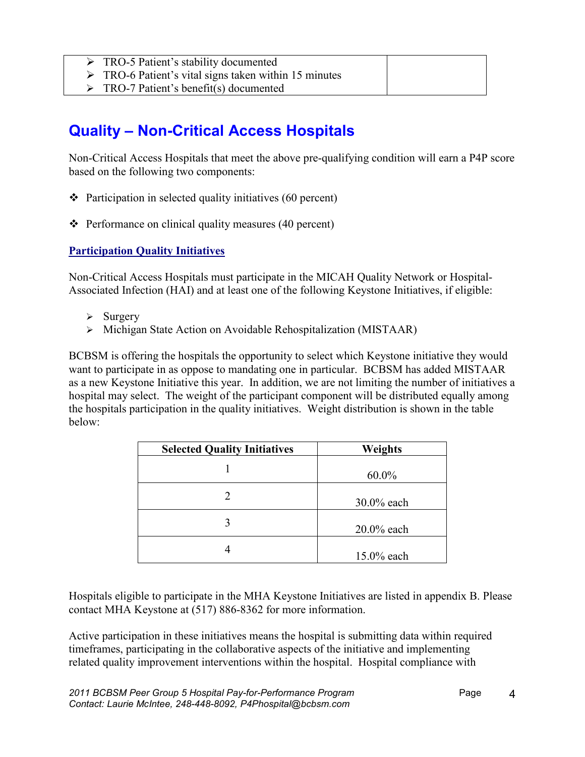- Ø TRO-5 Patient's stability documented
- $\triangleright$  TRO-6 Patient's vital signs taken within 15 minutes
- $\triangleright$  TRO-7 Patient's benefit(s) documented

# **Quality – Non-Critical Access Hospitals**

Non-Critical Access Hospitals that meet the above pre-qualifying condition will earn a P4P score based on the following two components:

- $\cdot$  Participation in selected quality initiatives (60 percent)
- $\div$  Performance on clinical quality measures (40 percent)

### **Participation Quality Initiatives**

Non-Critical Access Hospitals must participate in the MICAH Quality Network or Hospital-Associated Infection (HAI) and at least one of the following Keystone Initiatives, if eligible:

- $\triangleright$  Surgery
- Ø Michigan State Action on Avoidable Rehospitalization (MISTAAR)

BCBSM is offering the hospitals the opportunity to select which Keystone initiative they would want to participate in as oppose to mandating one in particular. BCBSM has added MISTAAR as a new Keystone Initiative this year. In addition, we are not limiting the number of initiatives a hospital may select. The weight of the participant component will be distributed equally among the hospitals participation in the quality initiatives. Weight distribution is shown in the table below:

| <b>Selected Quality Initiatives</b> | <b>Weights</b> |
|-------------------------------------|----------------|
|                                     | $60.0\%$       |
|                                     | $30.0\%$ each  |
|                                     | $20.0\%$ each  |
|                                     | 15.0% each     |

Hospitals eligible to participate in the MHA Keystone Initiatives are listed in appendix B. Please contact MHA Keystone at (517) 886-8362 for more information.

Active participation in these initiatives means the hospital is submitting data within required timeframes, participating in the collaborative aspects of the initiative and implementing related quality improvement interventions within the hospital. Hospital compliance with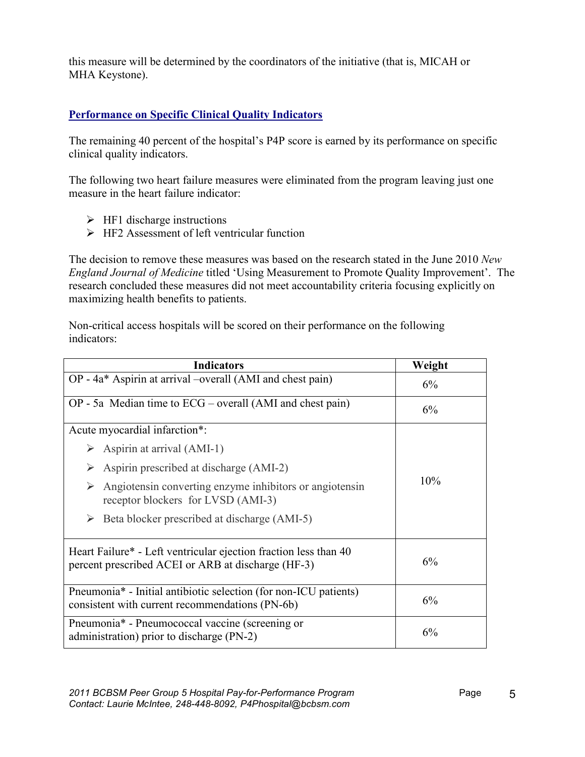this measure will be determined by the coordinators of the initiative (that is, MICAH or MHA Keystone).

### **Performance on Specific Clinical Quality Indicators**

The remaining 40 percent of the hospital's P4P score is earned by its performance on specific clinical quality indicators.

The following two heart failure measures were eliminated from the program leaving just one measure in the heart failure indicator:

- $\triangleright$  HF1 discharge instructions
- $\triangleright$  HF2 Assessment of left ventricular function

The decision to remove these measures was based on the research stated in the June 2010 *New England Journal of Medicine* titled 'Using Measurement to Promote Quality Improvement'. The research concluded these measures did not meet accountability criteria focusing explicitly on maximizing health benefits to patients.

Non-critical access hospitals will be scored on their performance on the following indicators:

| <b>Indicators</b>                                                                                                      | Weight |
|------------------------------------------------------------------------------------------------------------------------|--------|
| OP - 4a* Aspirin at arrival -overall (AMI and chest pain)                                                              | 6%     |
| $OP - 5a$ Median time to $ECG - overall$ (AMI and chest pain)                                                          | 6%     |
| Acute myocardial infarction*:                                                                                          |        |
| $\triangleright$ Aspirin at arrival (AMI-1)                                                                            |        |
| Aspirin prescribed at discharge (AMI-2)                                                                                |        |
| Angiotensin converting enzyme inhibitors or angiotensin<br>➤<br>receptor blockers for LVSD (AMI-3)                     | 10%    |
| $\triangleright$ Beta blocker prescribed at discharge (AMI-5)                                                          |        |
| Heart Failure* - Left ventricular ejection fraction less than 40<br>percent prescribed ACEI or ARB at discharge (HF-3) | 6%     |
| Pneumonia* - Initial antibiotic selection (for non-ICU patients)<br>consistent with current recommendations (PN-6b)    | 6%     |
| Pneumonia* - Pneumococcal vaccine (screening or<br>administration) prior to discharge (PN-2)                           | 6%     |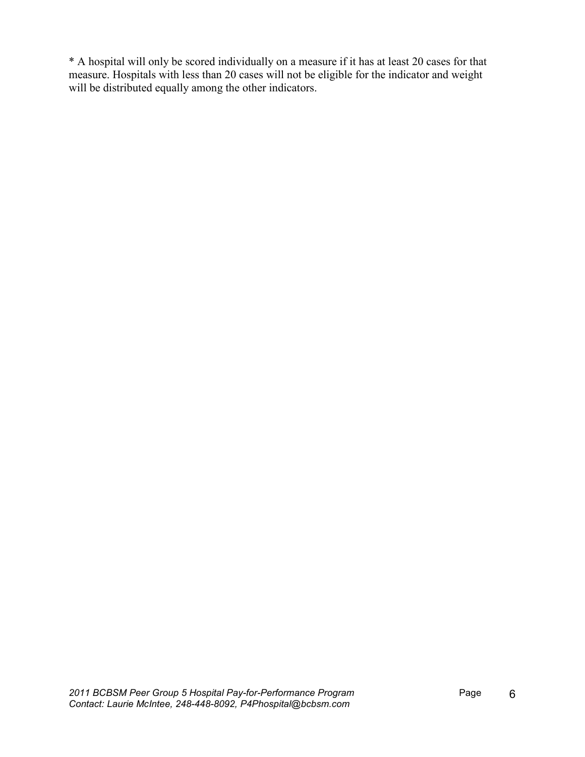\* A hospital will only be scored individually on a measure if it has at least 20 cases for that measure. Hospitals with less than 20 cases will not be eligible for the indicator and weight will be distributed equally among the other indicators.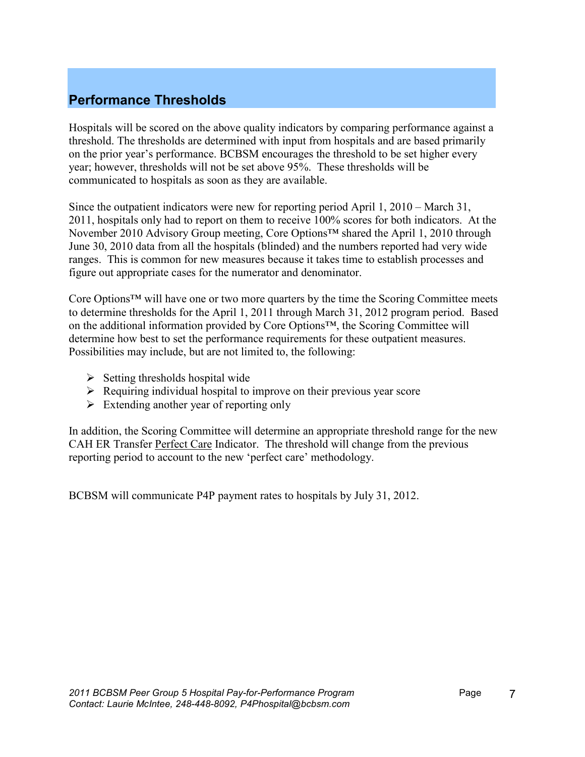## **Performance Thresholds**

Hospitals will be scored on the above quality indicators by comparing performance against a threshold. The thresholds are determined with input from hospitals and are based primarily on the prior year's performance. BCBSM encourages the threshold to be set higher every year; however, thresholds will not be set above 95%. These thresholds will be communicated to hospitals as soon as they are available.

Since the outpatient indicators were new for reporting period April 1, 2010 – March 31, 2011, hospitals only had to report on them to receive 100% scores for both indicators. At the November 2010 Advisory Group meeting, Core Options™ shared the April 1, 2010 through June 30, 2010 data from all the hospitals (blinded) and the numbers reported had very wide ranges. This is common for new measures because it takes time to establish processes and figure out appropriate cases for the numerator and denominator.

Core Options™ will have one or two more quarters by the time the Scoring Committee meets to determine thresholds for the April 1, 2011 through March 31, 2012 program period. Based on the additional information provided by Core Options™, the Scoring Committee will determine how best to set the performance requirements for these outpatient measures. Possibilities may include, but are not limited to, the following:

- $\triangleright$  Setting thresholds hospital wide
- $\triangleright$  Requiring individual hospital to improve on their previous year score
- $\triangleright$  Extending another year of reporting only

In addition, the Scoring Committee will determine an appropriate threshold range for the new CAH ER Transfer Perfect Care Indicator. The threshold will change from the previous reporting period to account to the new 'perfect care' methodology.

BCBSM will communicate P4P payment rates to hospitals by July 31, 2012.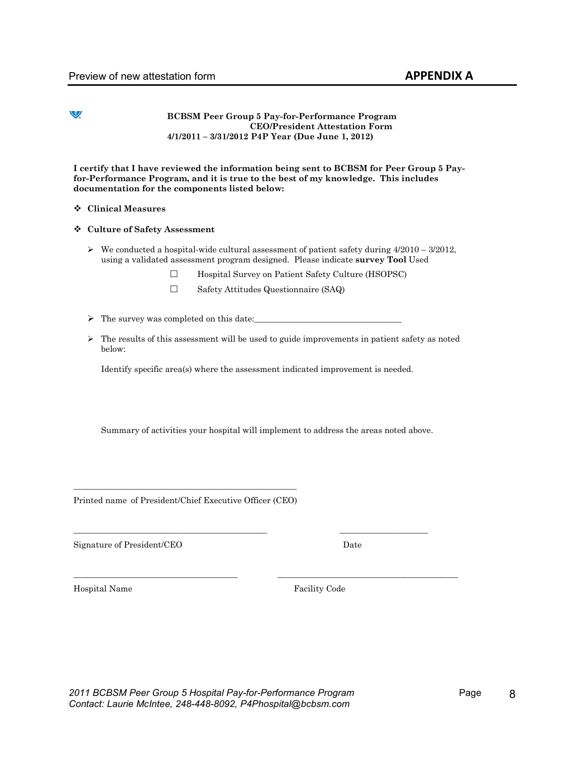#### V

#### **BCBSM Peer Group 5 Pay-for-Performance Program CEO/President Attestation Form 4/1/2011 – 3/31/2012 P4P Year (Due June 1, 2012)**

**I certify that I have reviewed the information being sent to BCBSM for Peer Group 5 Payfor-Performance Program, and it is true to the best of my knowledge. This includes documentation for the components listed below:** 

#### v **Clinical Measures**

#### v **Culture of Safety Assessment**

- $\triangleright$  We conducted a hospital-wide cultural assessment of patient safety during 4/2010 3/2012, using a validated assessment program designed. Please indicate **survey Tool** Used
	- $\Box$  Hospital Survey on Patient Safety Culture (HSOPSC)
	- Safety Attitudes Questionnaire (SAQ)
- $\triangleright$  The survey was completed on this date:
- $\triangleright$  The results of this assessment will be used to guide improvements in patient safety as noted below:

Identify specific area(s) where the assessment indicated improvement is needed.

Summary of activities your hospital will implement to address the areas noted above.

\_\_\_\_\_\_\_\_\_\_\_\_\_\_\_\_\_\_\_\_\_\_\_\_\_\_\_\_\_\_\_\_\_\_\_\_\_\_\_\_\_\_\_\_\_\_ \_\_\_\_\_\_\_\_\_\_\_\_\_\_\_\_\_\_\_\_\_

\_\_\_\_\_\_\_\_\_\_\_\_\_\_\_\_\_\_\_\_\_\_\_\_\_\_\_\_\_\_\_\_\_\_\_\_\_\_\_ \_\_\_\_\_\_\_\_\_\_\_\_\_\_\_\_\_\_\_\_\_\_\_\_\_\_\_\_\_\_\_\_\_\_\_\_\_\_\_\_\_\_\_

\_\_\_\_\_\_\_\_\_\_\_\_\_\_\_\_\_\_\_\_\_\_\_\_\_\_\_\_\_\_\_\_\_\_\_\_\_\_\_\_\_\_\_\_\_\_\_\_\_\_\_\_\_ Printed name of President/Chief Executive Officer (CEO)

Signature of President/CEO Date

Hospital Name Facility Code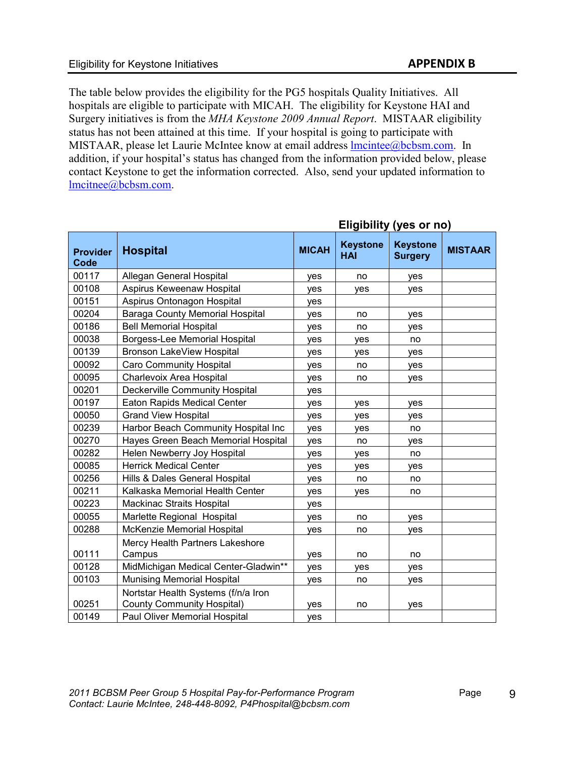The table below provides the eligibility for the PG5 hospitals Quality Initiatives. All hospitals are eligible to participate with MICAH. The eligibility for Keystone HAI and Surgery initiatives is from the *MHA Keystone 2009 Annual Report*. MISTAAR eligibility status has not been attained at this time. If your hospital is going to participate with MISTAAR, please let Laurie McIntee know at email address [lmcintee@bcbsm.com](mailto:lmcintee@bcbsm.com). In addition, if your hospital's status has changed from the information provided below, please contact Keystone to get the information corrected. Also, send your updated information to [lmcitnee@bcbsm.com](mailto:lmcitnee@bcbsm.com).

| <b>Keystone</b><br><b>Keystone</b><br><b>MICAH</b><br><b>Hospital</b><br><b>Provider</b><br><b>HAI</b><br><b>Surgery</b><br>Code | <b>MISTAAR</b> |
|----------------------------------------------------------------------------------------------------------------------------------|----------------|
| 00117<br>Allegan General Hospital<br>no<br>yes<br>yes                                                                            |                |
| 00108<br>Aspirus Keweenaw Hospital<br>yes<br>ves<br>ves                                                                          |                |
| 00151<br>Aspirus Ontonagon Hospital<br>yes                                                                                       |                |
| 00204<br><b>Baraga County Memorial Hospital</b><br>yes<br>no<br>yes                                                              |                |
| 00186<br><b>Bell Memorial Hospital</b><br>yes<br>no<br>yes                                                                       |                |
| Borgess-Lee Memorial Hospital<br>00038<br>yes<br>yes<br>no                                                                       |                |
| 00139<br><b>Bronson LakeView Hospital</b><br>yes<br>yes<br>yes                                                                   |                |
| 00092<br><b>Caro Community Hospital</b><br>yes<br>no<br>yes                                                                      |                |
| 00095<br>Charlevoix Area Hospital<br>yes<br>no<br>yes                                                                            |                |
| 00201<br><b>Deckerville Community Hospital</b><br>yes                                                                            |                |
| 00197<br><b>Eaton Rapids Medical Center</b><br>yes<br>yes<br>yes                                                                 |                |
| 00050<br><b>Grand View Hospital</b><br>yes<br>yes<br>yes                                                                         |                |
| Harbor Beach Community Hospital Inc<br>00239<br>yes<br>yes<br>no                                                                 |                |
| 00270<br>Hayes Green Beach Memorial Hospital<br>yes<br>no<br>yes                                                                 |                |
| 00282<br>Helen Newberry Joy Hospital<br>yes<br>yes<br>no                                                                         |                |
| 00085<br><b>Herrick Medical Center</b><br>yes<br>yes<br>yes                                                                      |                |
| 00256<br>Hills & Dales General Hospital<br>yes<br>no<br>no                                                                       |                |
| 00211<br>Kalkaska Memorial Health Center<br>yes<br>ves<br>no                                                                     |                |
| 00223<br><b>Mackinac Straits Hospital</b><br>yes                                                                                 |                |
| 00055<br>Marlette Regional Hospital<br>yes<br>no<br>yes                                                                          |                |
| 00288<br>McKenzie Memorial Hospital<br>yes<br>no<br>yes                                                                          |                |
| Mercy Health Partners Lakeshore<br>00111<br>Campus<br>no<br>yes<br>no                                                            |                |
| 00128<br>MidMichigan Medical Center-Gladwin**<br>yes<br>ves<br>yes                                                               |                |
| 00103<br><b>Munising Memorial Hospital</b><br>yes<br>no<br>yes                                                                   |                |
| Nortstar Health Systems (f/n/a Iron<br>00251                                                                                     |                |
| <b>County Community Hospital)</b><br>yes<br>no<br>yes<br>00149<br>Paul Oliver Memorial Hospital<br>yes                           |                |

**Eligibility (yes or no)**